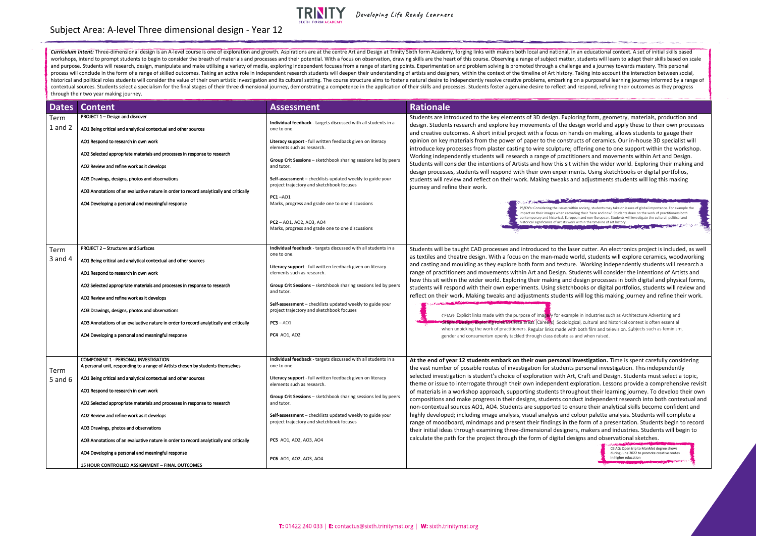| <b>Dates</b>        | <b>Content</b>                                                                                                                              | <b>Assessment</b>                                                                                      | <b>Rationale</b>                                                                                                                                                                                                                        |
|---------------------|---------------------------------------------------------------------------------------------------------------------------------------------|--------------------------------------------------------------------------------------------------------|-----------------------------------------------------------------------------------------------------------------------------------------------------------------------------------------------------------------------------------------|
| Term<br>$1$ and $2$ | PROJECT 1 - Design and discover<br>AO1 Being critical and analytical contextual and other sources                                           | Individual feedback - targets discussed with all students in a<br>one to one.                          | Students are introduced to the key elements of 3D design. Exploring form, g<br>design. Students research and explore key movements of the design world a<br>and creative outcomes. A short initial project with a focus on hands on mak |
|                     | AO1 Respond to research in own work                                                                                                         | Literacy support - full written feedback given on literacy<br>elements such as research.               | opinion on key materials from the power of paper to the constructs of cerar<br>introduce key processes from plaster casting to wire sculpture; offering one                                                                             |
|                     | AO2 Selected appropriate materials and processes in response to research                                                                    | Group Crit Sessions - sketchbook sharing sessions led by peers                                         | Working independently students will research a range of practitioners and r                                                                                                                                                             |
|                     | AO2 Review and refine work as it develops                                                                                                   | and tutor.                                                                                             | Students will consider the intentions of Artists and how this sit within the w<br>design processes, students will respond with their own experiments. Using s                                                                           |
|                     | AO3 Drawings, designs, photos and observations                                                                                              | Self-assessment - checklists updated weekly to guide your<br>project trajectory and sketchbook focuses | students will review and reflect on their work. Making tweaks and adjustme<br>journey and refine their work.                                                                                                                            |
|                     | AO3 Annotations of an evaluative nature in order to record analytically and critically<br>AO4 Developing a personal and meaningful response | <b>PC1-A01</b><br>Marks, progress and grade one to one discussions                                     |                                                                                                                                                                                                                                         |
|                     |                                                                                                                                             | PC2-A01, A02, A03, A04                                                                                 | /CV's: Considering the issues within society, students<br>npact on their images when recording their 'here and i<br>contemporary and historical, European and non-Europe<br>historical significance of artists work within the timeline |
|                     |                                                                                                                                             | Marks, progress and grade one to one discussions                                                       |                                                                                                                                                                                                                                         |
| Term                | <b>PROJECT 2-Structures and Surfaces</b>                                                                                                    | Individual feedback - targets discussed with all students in a<br>one to one.                          | Students will be taught CAD processes and introduced to the laser cutter. A                                                                                                                                                             |
| 3 and 4             | AO1 Being critical and analytical contextual and other sources                                                                              | Literacy support - full written feedback given on literacy                                             | as textiles and theatre design. With a focus on the man-made world, studen<br>and casting and moulding as they explore both form and texture. Working i                                                                                 |
|                     | AO1 Respond to research in own work                                                                                                         | elements such as research.                                                                             | range of practitioners and movements within Art and Design. Students will o<br>how this sit within the wider world. Exploring their making and design proce                                                                             |
|                     | AO2 Selected appropriate materials and processes in response to research                                                                    | Group Crit Sessions - sketchbook sharing sessions led by peers<br>and tutor.                           | students will respond with their own experiments. Using sketchbooks or dig<br>reflect on their work. Making tweaks and adjustments students will log this                                                                               |
|                     | AO2 Review and refine work as it develops                                                                                                   | Self-assessment - checklists updated weekly to guide your                                              |                                                                                                                                                                                                                                         |
|                     | AO3 Drawings, designs, photos and observations<br>AO3 Annotations of an evaluative nature in order to record analytically and critically    | project trajectory and sketchbook focuses<br>$PC3 - AO1$                                               | CEIAG: Explicit links made with the purpose of imagery for example in industries<br>ic Design, exploring roles in these areas (Careers). Sociological, cultural an                                                                      |
|                     | AO4 Developing a personal and meaningful response                                                                                           | <b>PC4</b> AO1, AO2                                                                                    | when unpicking the work of practitioners. Regular links made with both film and<br>gender and consumerism openly tackled through class debate as and when raise                                                                         |
|                     |                                                                                                                                             |                                                                                                        |                                                                                                                                                                                                                                         |
|                     | <b>COMPONENT 1 - PERSONAL INVESTIGATION</b><br>A personal unit, responding to a range of Artists chosen by students themselves              | Individual feedback - targets discussed with all students in a<br>one to one.                          | At the end of year 12 students embark on their own personal investigation                                                                                                                                                               |
| Term<br>5 and $6$   | AO1 Being critical and analytical contextual and other sources                                                                              | Literacy support - full written feedback given on literacy                                             | the vast number of possible routes of investigation for students personal in<br>selected investigation is student's choice of exploration with Art, Craft and I                                                                         |
|                     | AO1 Respond to research in own work                                                                                                         | elements such as research.                                                                             | theme or issue to interrogate through their own independent exploration. L<br>of materials in a workshop approach, supporting students throughout their                                                                                 |
|                     | AO2 Selected appropriate materials and processes in response to research                                                                    | Group Crit Sessions - sketchbook sharing sessions led by peers<br>and tutor.                           | compositions and make progress in their designs, students conduct indepen<br>non-contextual sources AO1, AO4. Students are supported to ensure their a                                                                                  |
|                     | AO2 Review and refine work as it develops                                                                                                   | Self-assessment - checklists updated weekly to guide your                                              | highly developed; including image analysis, visual analysis and colour paletted                                                                                                                                                         |
|                     | AO3 Drawings, photos and observations                                                                                                       | project trajectory and sketchbook focuses                                                              | range of moodboard, mindmaps and present their findings in the form of a<br>their initial ideas through examining three-dimensional designers, makers a                                                                                 |
|                     | AO3 Annotations of an evaluative nature in order to record analytically and critically                                                      | PC5 A01, A02, A03, A04                                                                                 | calculate the path for the project through the form of digital designs and ob                                                                                                                                                           |
|                     | AO4 Developing a personal and meaningful response                                                                                           | <b>PC6</b> AO1, AO2, AO3, AO4                                                                          |                                                                                                                                                                                                                                         |
|                     | <b>15 HOUR CONTROLLED ASSIGNMENT - FINAL OUTCOMES</b>                                                                                       |                                                                                                        |                                                                                                                                                                                                                                         |

oring form, geometry, materials, production and esign world and apply these to their own processes ands on making, allows students to gauge their ructs of ceramics. Our in-house 3D specialist will offering one to one support within the workshop. tioners and movements within Art and Design. within the wider world. Exploring their making and nents. Using sketchbooks or digital portfolios, and adjustments students will log this making

hin society, students may take on issues of global importance. For example the rding their 'here and now'. Students draw on the work of practitioners both pean and non-European. Students will investigate the cultural, political and k within the timeline of art history.

ser cutter. An electronics project is included, as well vorld, students will explore ceramics, woodworking e. Working independently students will research and texture. tudents will consider the intentions of Artists and design processes in both digital and physical forms, hbooks or digital portfolios, students will review and will log this making journey and refine their work.

ple in industries such as Architecture Advertising and gical, cultural and historical context is often essential th both film and television. Subjects such as feminism, and when raised.

**investigation.** Time is spent carefully considering personal investigation. This independently t, Craft and Design. Students must select a topic, exploration. Lessons provide a comprehensive revisit ughout their learning journey. To develop their own duct independent research into both contextual and nsure their analytical skills become confident and colour palette analysis. Students will complete analysis. Students will complete a ne form of a presentation. Students begin to record their inditial industries. Students will begin to through the students and industrial designers esigns and observational sketches.

Curriculum Intent: Three-dimensional design is an A-level course is one of exploration and growth. Aspirations are at the centre Art and Design at Trinity Sixth form Academy, forging links with makers both local and nation workshops, intend to prompt students to begin to consider the breath of materials and processes and their potential. With a focus on observation, drawing skills are the heart of this course. Observing a range of subject ma and purpose. Students will research, design, manipulate and make utilising a variety of media, exploring independent focuses from a range of starting points. Experimentation and problem solving is promoted through a challe process will conclude in the form of a range of skilled outcomes. Taking an active role in independent research students will deepen their understanding of artists and designers, within the context of the timeline of Art h historical and political roles students will consider the value of their own artistic investigation and its cultural setting. The course structure aims to foster a natural desire to independently resolve creative problems, contextual sources. Students select a specialism for the final stages of their three dimensional journey, demonstrating a competence in the application of their skills and processes. Students foster a genuine desire to ref through their two year making journey.

## Subject Area: A-level Three dimensional design - Year 12



Developing Life Ready Learners

CEIAG: Open trip to ManMet degree shows during June 2022 to promote creative routes In higher education